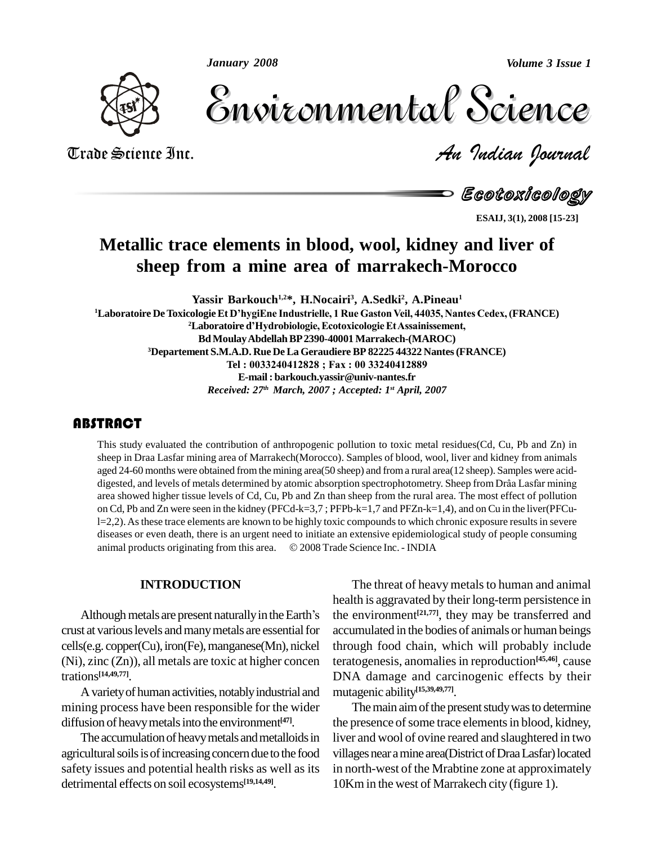*January 2008*

*Volume 3 Issue 1*



Volume 3 Issue 1 Trade Science Inc. *An Indian Journal* Volume 3 Issue 1

Ecotoxicology

**ESAIJ, 3(1), 2008 [15-23]**

## **Metallic trace elements in blood, wool, kidney and liver of sheep** from a mine area of marrakech-Morocco

**Yassir Barkouch 1,2\*, H.Nocairi<sup>3</sup> , A.Sedki<sup>2</sup> , A.Pineau 1 <sup>1</sup>Laboratoire DeToxicologieEt <sup>D</sup>íhygiEne Industrielle, <sup>1</sup> Rue GastonVeil, 44035, Nantes Cedex,(FRANCE)** Yassir Barkouch<sup>1,2</sup>\*, H.Nocairi<sup>3</sup>, A.Sedki<sup>2</sup>, A.Pineau<sup>1</sup><br>20 cologie Et D'hygiEne Industrielle, 1 Rue Gaston Veil, 44035, Nantes C<br><sup>2</sup>Laboratoire d'Hydrobiologie, Ecotoxicologie Et Assainissement, **BdMoulayAbdellahBP2390-40001 Marrakech-(MAROC) <sup>3</sup>Departement S.M.A.D. Rue DeLa Geraudiere BP 82225 44322 Nantes(FRANCE)** ulay Abdellah BP 2390-40001 Marrakech-(MAROC)<br>[.A.D. Rue De La Geraudiere BP 82225 44322 Nantes (F<br>Tel : 0033240412828 ; Fax : 00 33240412889 **E-mail: [barkouch.yassir@univ-nantes.fr](mailto:barkouch.yassir@univ-nantes.fr)** *Received: 27 th March, 2007 ; Accepted: 1 st April, 2007*

### **ABSTRACT**

This study evaluated th<br>sheep in Draa Lasfar mi<br>aged 24-60 months were This study evaluated the contribution of anthropogenic pollution to toxic metal residues(Cd, Cu, Pb and Zn) in sheep in Draa Lasfar mining area of Marrakech(Morocco). Samples of blood, wool, liver and kidney from animals<br>aged 24-60 months were obtained from the mining area(50 sheep) and from a rural area(12 sheep). Samples were aci aged 24-60 months were obtained fromthe mining area(50 sheep) and froma rural area(12 sheep). Samples were acid area showed higher tissue levels of Cd, Cu, Pb and Zn than sheep from the rural area. The most effect of pollution on Cd, Pb and Zn were seen in the kidney (PFCd-k=3,7 ; PFPb-k=1,7 and PFZn-k=1,4), and on Cu in the liver(PFCul=2,2). As these trace elements are known to be highly toxic compounds to which chronic exposure results in severe diseases or even death, there is an urgent need to initiate an extensive epidemiological study of people co diseases or even death, there is an urgent need to initiate an extensive epidemiological study of people consuming

#### **INTRODUCTION**

Although metals are present naturally in the Earth's crust at variouslevels andmanymetals are essentialfor cells(e.g. copper(Cu),iron(Fe),manganese(Mn), nickel (Ni), zinc (Zn)), all metals are toxic at higher concen trations **[14,49,77]**.

Avarietyof human activities, notablyindustrial and mining process have been responsible for the wider diffusion of heavymetalsinto the environment **[47]**.

The accumulation of heavy metals and metalloids in agricultural soils is of increasing concern due to the food safety issues and potential health risks as well as its detrimental effects on soil ecosystems **[19,14,49]**.

The threat of heavy metals to human and animal health is aggravated by their long-term persistence in the environment **[21,77]**, they may be transferred and accumulated in the bodies of animals or human beings through food chain, which will probably include teratogenesis, anomalies in reproduction<sup>[45,46]</sup>, cause DNA damage and carcinogenic effects by their mutagenic ability **[15,39,49,77]**.

The main aim of the present study was to determine the presence of some trace elements in blood, kidney, liver and wool of ovine reared and slaughtered in two villages near a mine area(District of Draa Lasfar) located in north-west of the Mrabtine zone at approximately 10Km in the west of Marrakech city (figure 1).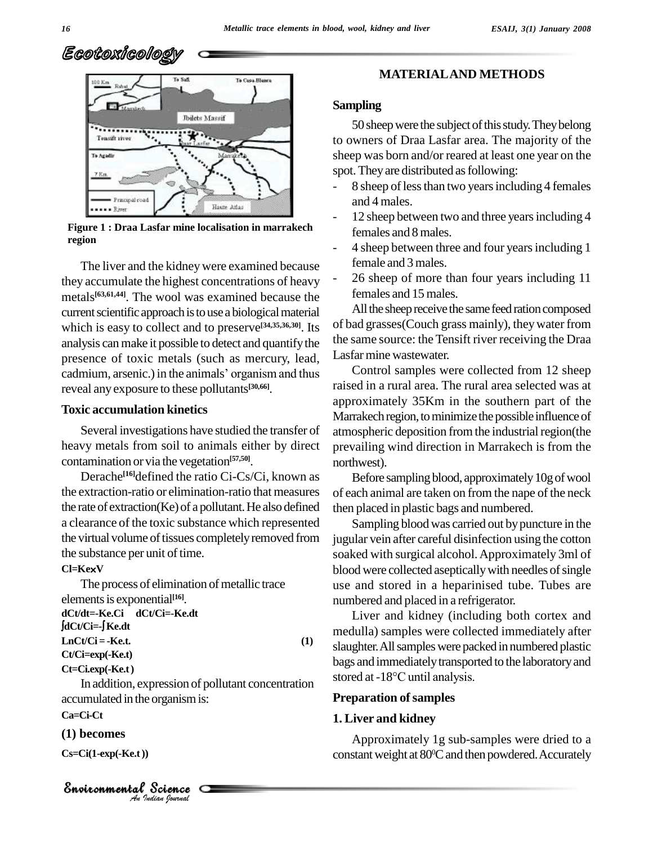



**Figure 1 : Draa Lasfar mine localisation in marrakech region**

The liver and the kidney were examined because they accumulate the highest concentrations of heavy metals<sup>[63,61,44]</sup>. The wool was examined because the <sup>te</sup> current scientific approach is to use a biological material which is easy to collect and to preserve<sup>[34,35,36,30]</sup>. Its of ba analysis can make it possible to detect and quantify the the sa<br>presence of toxic metals (such as mercury, lead, Lasfar<br>cadmium, arsenic.) in the animals' organism and thus presence of toxic metals (such as mercury, lead, reveal any exposure to these pollutants **[30,66]**.

#### **Toxic accumulation kinetics**

Several investigations have studied the transfer of heavy metals from soil to animals either by direct contamination or via the vegetation **[57,50]**.

Derache **[16]**defined the ratio Ci-Cs/Ci, known as the extraction-ratio or elimination-ratio that measures the rate of extraction(Ke) of a pollutant.He also defined a clearance of the toxic substance which represented the virtual volume of tissues completely removed from the substance per unit of time. the substance per uni<br>**Cl=Ke×V** 

The process of elimination of metallic trace elementsis exponential **[16]**.

**dCt/dt=-Ke.Ci dCt/Ci=-Ke.dt** elements is exponen<br>lCt/dt=-Ke.Ci dCt/<br>dCt/Ci=-∫Ke.dt  $LnCt/Ci = -Ke.t.$  (1) **Ct/Ci=exp(-Ke.t) Ct=Ci.exp(-Ke.t)**

**I**<br> *I*<br> *P*<br> *Pudian Gournal*  $\alpha$  accumulated in the organism is: In addition, expression of pollutant concentration stored at  $-18^{\circ}$ C until analysis.

#### **Ca=Ci-Ct**

#### **(1) becomes**

**Cs=Ci(1-exp(-Ke.t))**

#### **MATERIALAND METHODS**

#### **Sampling**

50 sheep were the subject of this study. They belong to owners of Draa Lasfar area. The majority of the sheep was born and/or reared at least one year on the spot. They are distributed as following:

- 8 sheep of less than two years including 4 females and 4 males.
- 12 sheep between two and three years including 4 females and 8males.
- 4 sheep between three and four years including 1 female and 3males.
- 26 sheep of more than four years including 11 females and 15males.

All the sheep receive the same feed ration composed of bad grasses(Couch grass mainly), theywater from the same source: the Tensift river receiving the Draa Lasfar mine wastewater.

Control samples were collected from 12 sheep raised in a rural area. The rural area selected was at approximately 35Km in the southern part of the Marrakech region, to minimize the possible influence of atmospheric deposition from the industrial region(the prevailing wind direction in Marrakech is from the northwest).

Before sampling blood, approximately 10g of wool of each animal are taken on from the nape of the neck then placed in plastic bags and numbered.

Sampling blood was carried out by puncture in the jugular vein after careful disinfection using the cotton soaked with surgical alcohol.Approximately 3ml of blood were collected aseptically with needles of single use and stored in a heparinised tube. Tubes are numbered and placed in a refrigerator.

Liver and kidney (including both cortex and medulla) samples were collected immediately after slaughter. All samples were packed in numbered plastic<br>bags and immediately transported to the laboratory and<br>stored at -18°C until analysis. bags and immediately transported to the laboratory and

#### **Preparation** of samples

#### **1. Liver and kidney**

Approximately 1g sub-samples were dried to a constant weight at 80<sup>°</sup>C and then powdered. Accurately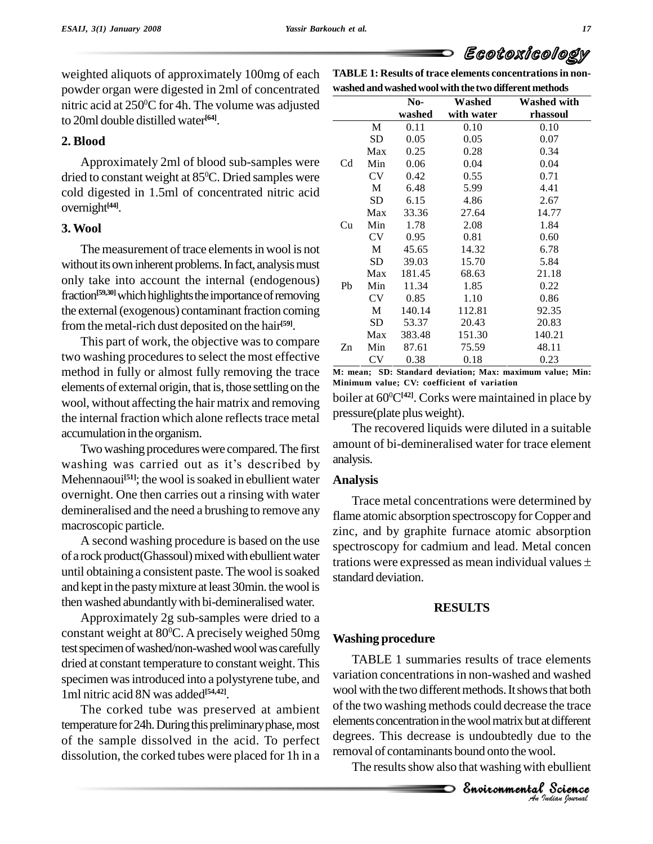weighted aliquots of approximately 100mg of each powder organ were digested in 2ml of concentrated nitric acid at 250 <sup>0</sup>C for 4h. The volume was adjusted to 20ml double distilled water **[64]**.

#### **2. Blood**

Approximately 2ml of blood sub-samples were dried to constant weight at 85 <sup>0</sup>C. Dried samples were cold digested in 1.5ml of concentrated nitric acid overnight **[44]**.

#### **3.Wool**

The measurement of trace elements in wool is not without its own inherent problems. In fact, analysis must only take into account the internal (endogenous) fraction<sup>[59,30]</sup> which highlights the importance of removing the external (exogenous) contaminant fraction coming from the metal-rich dust deposited on the hair<sup>[59]</sup>.

This part of work, the objective was to compare two washing procedures to select the most effective method in fully or almost fully removing the trace elements of external origin, that is, those settling on the wool, without affecting the hair matrix and removing the internal fraction which alone reflects trace metal accumulation in the organism.

Two washing procedures were compared. The first all accumulation in the organism.<br>Two washing procedures were compared. The first amoun<br>washing was carried out as it's described by analysis Mehennaoui<sup>[51]</sup>; the wool is soaked in ebullient water **An** overnight. One then carries out a rinsing with water demineralised and the need a brushing to remove any macroscopic particle.

A second washing procedure is based on the use of a rock product (Ghassoul) mixed with ebullient water<br>trations were expressed as mean individual values  $\pm$ until obtaining a consistent paste. The wool is soaked and kept in the pasty mixture at least 30min. the wool is then washed abundantly with bi-demineralised water.

Approximately 2g sub-samples were dried to a constant weight at 80<sup>o</sup>C. A precisely weighed 50mg  $W_{\rm orbit}$ test specimen of washed/non-washed wool was carefully dried at constant temperature to constant weight. This specimen was introduced into a polystyrene tube, and 1ml nitric acid 8N was added **[54,42]**.

The corked tube was preserved at ambient temperature for 24h. During this preliminary phase, most of the sample dissolved in the acid. To perfect dissolution, the corked tubes were placed for 1h in a

|    | washed and washed wool with the two different methods |                                     |            |          |  |  |  |  |
|----|-------------------------------------------------------|-------------------------------------|------------|----------|--|--|--|--|
|    |                                                       | No-<br>Washed<br><b>Washed with</b> |            |          |  |  |  |  |
|    |                                                       | washed                              | with water | rhassoul |  |  |  |  |
|    | M                                                     | 0.11                                | 0.10       | 0.10     |  |  |  |  |
|    | SD                                                    | 0.05                                | 0.05       | 0.07     |  |  |  |  |
|    | Max                                                   | 0.25                                | 0.28       | 0.34     |  |  |  |  |
| Cd | Min                                                   | 0.06                                | 0.04       | 0.04     |  |  |  |  |
|    | <b>CV</b>                                             | 0.42                                | 0.55       | 0.71     |  |  |  |  |
|    | M                                                     | 6.48                                | 5.99       | 4.41     |  |  |  |  |
|    | SD                                                    | 6.15                                | 4.86       | 2.67     |  |  |  |  |
|    | Max                                                   | 33.36                               | 27.64      | 14.77    |  |  |  |  |
| Cu | Min                                                   | 1.78                                | 2.08       | 1.84     |  |  |  |  |
|    | <b>CV</b>                                             | 0.95                                | 0.81       | 0.60     |  |  |  |  |
|    | M                                                     | 45.65                               | 14.32      | 6.78     |  |  |  |  |
|    | SD                                                    | 39.03                               | 15.70      | 5.84     |  |  |  |  |
|    | Max                                                   | 181.45                              | 68.63      | 21.18    |  |  |  |  |
| Pb | Min                                                   | 11.34                               | 1.85       | 0.22     |  |  |  |  |
|    | <b>CV</b>                                             | 0.85                                | 1.10       | 0.86     |  |  |  |  |
|    | M                                                     | 140.14                              | 112.81     | 92.35    |  |  |  |  |
|    | SD                                                    | 53.37                               | 20.43      | 20.83    |  |  |  |  |
|    | Max                                                   | 383.48                              | 151.30     | 140.21   |  |  |  |  |
| Zn | Min                                                   | 87.61                               | 75.59      | 48.11    |  |  |  |  |
|    | <b>CV</b>                                             | 0.38                                | 0.18       | 0.23     |  |  |  |  |

**TABLE 1: Results of trace elements concentrationsin non-**

**M: mean; SD: Standard deviation; Max: maximum value; Min: Minimum value; CV: coefficient of variation**

boiler at 60 <sup>0</sup>C**[42]**. Corks were maintained in place by pressure(plate plusweight).

The recovered liquids were diluted in a suitable amount of bi-demineralised water for trace element analysis.

#### **Analysis**

Trace metal concentrations were determined by flame atomic absorption spectroscopy for Copper and zinc, and by graphite furnace atomic absorption<br>spectroscopy for cadmium and lead. Metal concen<br>trations were expressed as mean individual values  $\pm$ spectroscopy for cadmium and lead. Metal concen standard deviation.

#### **RESULTS**

#### **Washing procedure**

of the two washing methods could decrease the trace *Indianal*<br>*Indianal*<br>*I Indianal*<br>**Procession**<br>*Procession* the trace<br>different<br>e to the<br>l.<br>ebullient<br>**Science** TABLE 1 summaries results of trace elements variation concentrations in non-washed and washed wool with the two different methods. It shows that both elements concentration in the wool matrix but at different degrees. This decrease is undoubtedly due to the removal of contaminants bound onto the wool.

The results show also that washing with ebullient

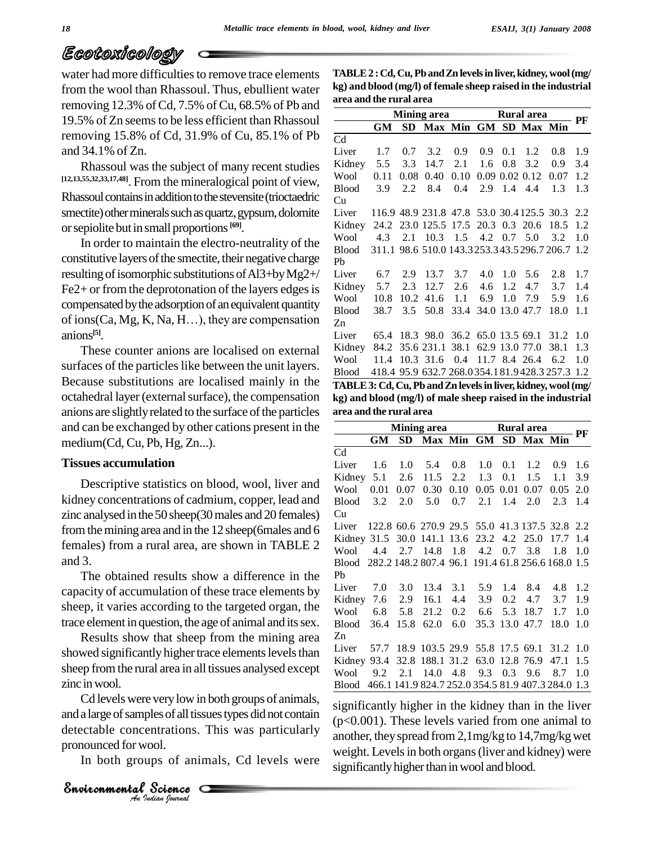water had more difficulties to remove trace elements from the wool than Rhassoul. Thus, ebullient water removing  $12.3\%$  of Cd,  $7.5\%$  of Cu,  $68.5\%$  of Pb and 19.5% of Zn seemsto be less efficient than Rhassoul removing 15.8% of Cd, 31.9% of Cu, 85.1% of Pb and 34.1% of Zn.

Rhassoul was the subject of many recent studies **[12,13,55,32,33,17,48]**. From the mineralogical point of view, Rhassoul contains in addition to the stevensite (trioctaedric smectite) other minerals such as quartz, gypsum, dolomite orsepiolite butin small proportions **[69]**.

In order to maintain the electro-neutrality of the constitutive layers of the smectite, their negative charge resulting of isomorphic substitutions of Al3+by Mg2+/ Fe2+ or from the deprotonation of the layers edges is  $\frac{\text{Kidney}}{\text{Wood}}$ <br>
compensated by the adsorption of an equivalent quantity  $\frac{\text{Wood}}{\text{ Blood}}$ <br>
of ions(Ca, Mg, K, Na, H...), they are compensation  $\frac{\text{Zn}}{\text{A}}$ compensated by the adsorption of an equivalent quantity anions **[5]**.

These counter anions are localised on external surfaces of the particles like between the unit layers. Because substitutions are localised mainly in the octahedral layer(externalsurface), the compensation anions are slightly related to the surface of the particles and can be exchanged by other cations present in the medium(Cd, Cu, Pb, Hg, Zn...).

#### **Tissues accumulation**

Descriptive statistics on blood, wool, liver and kidney concentrations of cadmium, copper, lead and zinc analysed inthe 50 sheep(30males and 20 females) from the mining area and in the 12 sheep(6males and 6 females) from a rural area, are shown in TABLE 2 and 3.

The obtained results show a difference in the capacity of accumulation of these trace elements by sheep, it varies according to the targeted organ, the trace element in question, the age of animal and its sex.

Results show that sheep from the mining area showed significantly higher trace elements levels than sheep fromthe rural area in all tissues analysed except zinc inwool.

*A*<br> *A* Analysis of all tissues<br>
incentrations. This<br> *A* A Science Cd levels were very low in both groups of animals,  $\frac{1}{2}$ and a large of samples of all tissues types did not contain  $\alpha$ detectable concentrations. This was particularly pronounced for wool.

In both groups of animals, Cd levels were

**TABLE2 :Cd, Cu,PbandZn levelsinliver,kidney, wool(mg/ kg) and blood (mg/l) of female sheep raised in the industrial area and the rural area**

|                                                               | <b>Mining area Rural area</b>    |  |                                           |  |                 |  |                 |                  | PF  |
|---------------------------------------------------------------|----------------------------------|--|-------------------------------------------|--|-----------------|--|-----------------|------------------|-----|
|                                                               | GM                               |  | SD Max Min GM SD Max Min                  |  |                 |  |                 |                  |     |
| Cd                                                            |                                  |  |                                           |  |                 |  |                 |                  |     |
| Liver                                                         |                                  |  | $1.7 \quad 0.7 \quad 3.2$                 |  | $0.9 \quad 0.9$ |  | $0.1 \quad 1.2$ | 0.8              | 1.9 |
| Kidney 5.5 3.3 14.7 2.1 1.6                                   |                                  |  |                                           |  |                 |  | $0.8 \quad 3.2$ | 0.9 <sub>o</sub> | 3.4 |
| Wool                                                          |                                  |  | $0.11$ 0.08 0.40 0.10 0.09 0.02 0.12 0.07 |  |                 |  |                 |                  | 1.2 |
| Blood 3.9 2.2 8.4 0.4 2.9 1.4 4.4                             |                                  |  |                                           |  |                 |  |                 | 1.3              | 1.3 |
| Cu                                                            |                                  |  |                                           |  |                 |  |                 |                  |     |
| Liver 116.9 48.9 231.8 47.8 53.0 30.4 125.5 30.3 2.2          |                                  |  |                                           |  |                 |  |                 |                  |     |
| Kidney 24.2 23.0 125.5 17.5 20.3 0.3 20.6 18.5                |                                  |  |                                           |  |                 |  |                 |                  | 1.2 |
| Wool 4.3 2.1 10.3 1.5 4.2 0.7 5.0                             |                                  |  |                                           |  |                 |  |                 | 3.2              | 1.0 |
| Blood 311.1 98.6 510.0 143.3 253.3 43.5 296.7 206.7 1.2       |                                  |  |                                           |  |                 |  |                 |                  |     |
| Pb                                                            |                                  |  |                                           |  |                 |  |                 |                  |     |
| Liver                                                         | 6.7 2.9 13.7 3.7 4.0 1.0 5.6 2.8 |  |                                           |  |                 |  |                 |                  | 1.7 |
| Kidney 5.7 2.3 12.7 2.6 4.6                                   |                                  |  |                                           |  |                 |  | 1.2 4.7         | 3.7              | 1.4 |
| Wool 10.8 10.2 41.6 1.1 6.9 1.0 7.9 5.9                       |                                  |  |                                           |  |                 |  |                 |                  | 1.6 |
| Blood 38.7 3.5 50.8 33.4 34.0 13.0 47.7 18.0 1.1              |                                  |  |                                           |  |                 |  |                 |                  |     |
| Zn                                                            |                                  |  |                                           |  |                 |  |                 |                  |     |
| Liver 65.4 18.3 98.0 36.2 65.0 13.5 69.1 31.2 1.0             |                                  |  |                                           |  |                 |  |                 |                  |     |
| Kidney 84.2 35.6 231.1 38.1 62.9 13.0 77.0 38.1               |                                  |  |                                           |  |                 |  |                 |                  | 1.3 |
| Wool 11.4 10.3 31.6 0.4 11.7 8.4 26.4 6.2                     |                                  |  |                                           |  |                 |  |                 |                  | 1.0 |
| Blood 418.4 95.9 632.7 268.0354.181.9428.3 257.3 1.2          |                                  |  |                                           |  |                 |  |                 |                  |     |
| TABLE 3: Cd, Cu, Pb and Zn levels in liver, kidney, wool (mg/ |                                  |  |                                           |  |                 |  |                 |                  |     |
|                                                               |                                  |  |                                           |  |                 |  |                 |                  |     |

**kg) and blood (mg/l) of male sheep raised in the industrial area and the rural area**

|                                                          |  |  |  |  | Mining area <b>Rural area</b>        |  |                 |                 |     |
|----------------------------------------------------------|--|--|--|--|--------------------------------------|--|-----------------|-----------------|-----|
|                                                          |  |  |  |  | GM SD Max Min GM SD Max Min          |  |                 |                 | PF  |
| Cd                                                       |  |  |  |  |                                      |  |                 |                 |     |
| Liver                                                    |  |  |  |  | $1.6$ $1.0$ $5.4$ $0.8$ $1.0$ $0.1$  |  | 1.2             | 0.9             | 1.6 |
| Kidney 5.1 2.6 11.5 2.2 1.3                              |  |  |  |  |                                      |  | $0.1 \quad 1.5$ | 1.1             | 3.9 |
| Wool 0.01 0.07 0.30 0.10 0.05 0.01 0.07 0.05 2.0         |  |  |  |  |                                      |  |                 |                 |     |
| Blood 3.2 2.0 5.0 0.7 2.1 1.4 2.0                        |  |  |  |  |                                      |  |                 | $2.3 \quad 1.4$ |     |
| Cu                                                       |  |  |  |  |                                      |  |                 |                 |     |
| Liver 122.8 60.6 270.9 29.5 55.0 41.3 137.5 32.8 2.2     |  |  |  |  |                                      |  |                 |                 |     |
| Kidney 31.5 30.0 141.1 13.6 23.2 4.2 25.0 17.7 1.4       |  |  |  |  |                                      |  |                 |                 |     |
| Wool 4.4 2.7 14.8 1.8 4.2 0.7 3.8 1.8 1.0                |  |  |  |  |                                      |  |                 |                 |     |
| Blood 282.2 148.2 807.4 96.1 191.4 61.8 256.6 168.0 1.5  |  |  |  |  |                                      |  |                 |                 |     |
| Pb                                                       |  |  |  |  |                                      |  |                 |                 |     |
| Liver                                                    |  |  |  |  | 7.0 3.0 13.4 3.1 5.9 1.4 8.4 4.8 1.2 |  |                 |                 |     |
| Kidney 7.6 2.9 16.1 4.4 3.9 0.2 4.7 3.7                  |  |  |  |  |                                      |  |                 |                 | 1.9 |
| Wool 6.8 5.8 21.2 0.2 6.6 5.3 18.7 1.7                   |  |  |  |  |                                      |  |                 |                 | 1.0 |
| Blood 36.4 15.8 62.0 6.0 35.3 13.0 47.7 18.0 1.0         |  |  |  |  |                                      |  |                 |                 |     |
| Zn                                                       |  |  |  |  |                                      |  |                 |                 |     |
| Liver 57.7 18.9 103.5 29.9 55.8 17.5 69.1 31.2 1.0       |  |  |  |  |                                      |  |                 |                 |     |
| Kidney 93.4 32.8 188.1 31.2 63.0 12.8 76.9 47.1          |  |  |  |  |                                      |  |                 |                 | 1.5 |
| Wool 9.2 2.1 14.0 4.8 9.3 0.3 9.6                        |  |  |  |  |                                      |  |                 | 8.7 1.0         |     |
| Blood 466.1 141.9 824.7 252.0 354.5 81.9 407.3 284.0 1.3 |  |  |  |  |                                      |  |                 |                 |     |

significantly higher in the kidney than in the liver (p<0.001). These levels varied from one animal to another, they spread from 2,1mg/kg to 14,7mg/kg wet weight. Levels in both organs (liver and kidney) were significantly higher than in wool and blood.

*Indian Journal*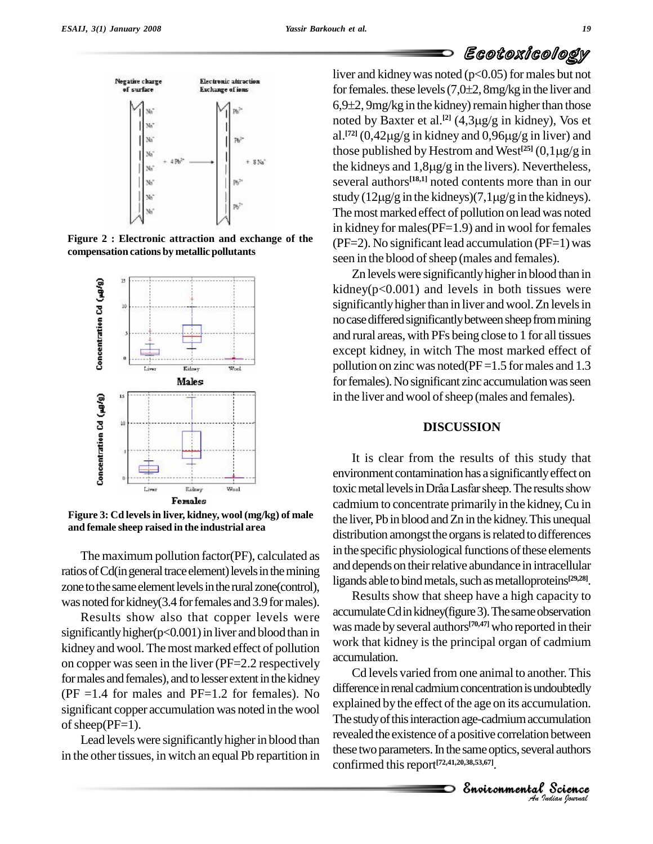

**Figure 2 : Electronic attraction and exchange of the compensation cations by metallic pollutants**



**Figure 3: Cd levelsin liver,kidney, wool (mg/kg) of male and female sheep raised in the industrial area**

The maximum pollution factor(PF), calculated as ratios of Cd(in general trace element) levels in the mining zone to the same element levels in the rural zone(control), was noted for kidney(3.4 for females and 3.9 for males).

Results show also that copper levels were significantly higher( $p<0.001$ ) in liver and blood than in kidney and wool. The most marked effect of pollution on copper wasseen in the liver (PF=2.2 respectively for males and females), and to lesser extent in the kidney ( $PF = 1.4$  for males and  $PF = 1.2$  for females). No significant copper accumulation was noted in the wool of sheep( $PF=1$ ).

Lead levels were significantly higher in blood than in the other tissues, in witch an equal Pb repartition in

liver and kidney was noted (p<0.05) for males but not  $\leftarrow$   $\left(\frac{1}{2}\right)$ <br>iver and kidney was noted (p<0.05) for males but not<br>for females. these levels (7,0±2, 8mg/kg in the liver and liver and kidney was noted (p<0.05) for males but not<br>for females. these levels (7,0±2, 8mg/kg in the liver and<br>6,9±2, 9mg/kg in the kidney) remain higher than those noted by Baxter et al.<sup>[2]</sup> (4,3µg/g in kidney), Vos et<br>al.<sup>[72]</sup> (0,42µg/g in kidney and 0,96µg/g in liver) and<br>those published by Hestrom and West<sup>[25]</sup> (0,1µg/g in 8 (7,0±2, 8mg/kg in the liver and<br>Idney) remain higher than those<br><sup>[2]</sup> (4,3µg/g in kidney), Vos et al.<sup>[72]</sup> (0,42 $\mu$ g/g in kidney and 0,96 $\mu$ g/g in liver) and Henry (2008) (172) (2018) Henry in the kidney beam in higher than those<br>ted by Baxter et al.<sup>[2]</sup> (4,3µg/g in kidney), Vos et<br><sup>[72]</sup> (0,42µg/g in kidney and 0,96µg/g in liver) and those published by Hestrom and West<sup>[25]</sup> (0 al.<sup>[72]</sup> (0,42µg/g in kidney and 0,96µg/g in liver) and<br>those published by Hestrom and West<sup>[25]</sup> (0,1µg/g in<br>the kidneys and 1,8µg/g in the livers). Nevertheless, several authors **[18,1]** noted contents more than in our the kidneys and  $1,8\mu g/g$  in the livers). Nevertheless,<br>several authors<sup>[18,1]</sup> noted contents more than in our<br>study (12 $\mu g/g$  in the kidneys)(7,1 $\mu g/g$  in the kidneys). The most marked effect of pollution on lead was noted in kidney for males( $PF=1.9$ ) and in wool for females  $(PF=2)$ . No significant lead accumulation  $(PF=1)$  was seen in the blood of sheep (males and females).

Zn levels were significantly higher in blood than in kidney( $p<0.001$ ) and levels in both tissues were significantly higher than in liver and wool. Zn levels in no case differed significantly between sheep from mining and rural areas, with PFs being close to 1 forall tissues except kidney, in witch The most marked effect of pollution on zinc was noted( $PF = 1.5$  for males and 1.3 for females). No significant zinc accumulation was seen in the liver and wool of sheep (males and females).

#### **DISCUSSION**

It is clear from the results of this study that environment contamination has a significantlyeffect on It is clear from the results of this study that<br>environment contamination has a significantly effect on<br>toxic metal levels in Drâa Lasfar sheep. The results show cadmium to concentrate primarily in the kidney, Cu in the liver, Pb in blood and Zn in the kidney. This unequal distribution amongst the organs is related to differences in the specific physiological functions of these elements and depends on their relative abundance in intracellular ligands able to bind metals, such as metalloproteins<sup>[29,28]</sup>.

Results show that sheep have a high capacity to accumulate Cd in kidney(figure 3). The same observation was made by several authors<sup>[70,47]</sup> who reported in their work that kidney is the principal organ of cadmium accumulation.

explained by the effect of the age on its accumulation. *Indiation*<br>*In between*<br>*Indian bournal*<br>*Indian bournal* nulation.<br>mulation<br>lauthors<br>Science Cd levels varied from one animal to another.This difference in renal cadmium concentration is undoubtedly The study of this interaction age-cadmium accumulation revealed the existence of a positive correlation between these two parameters. In the same optics, several authors confirmed thisreport **[72,41,20,38,53,67]**.

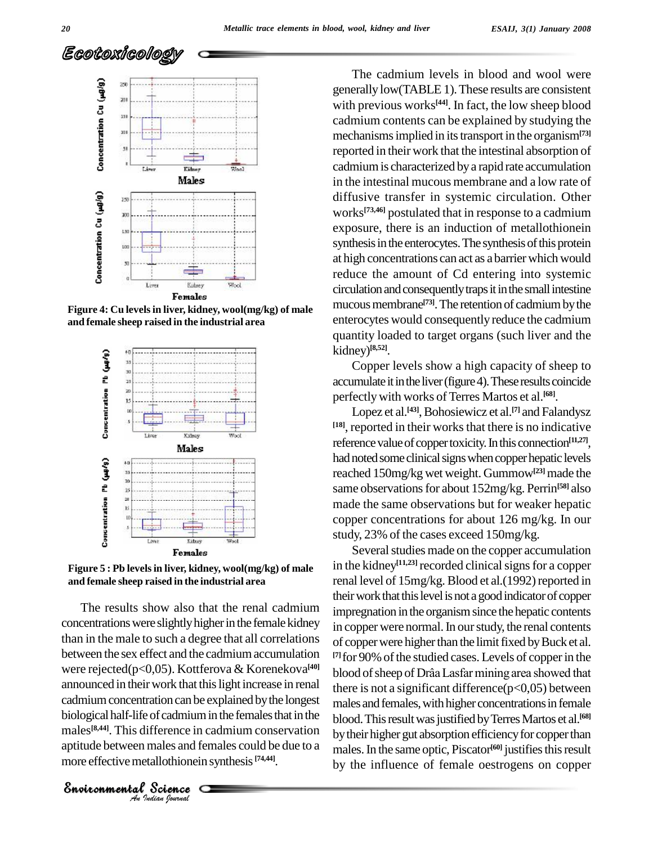

**Figure 4: Cu levelsin liver,kidney, wool(mg/kg) of male and female sheep raised in the industrial area**



**Figure 5 : Pb levelsin liver,kidney, wool(mg/kg) of male and female sheep raised in the industrial area**

entration can be explicial intervalsed<br>*An* Analysis difference in cade<br>the males and females and females and females and females and females and females are metallothionein synchials. cadmium concentration can be explained by the longest ma The results show also that the renal cadmium concentrations were slightly higher in the female kidney than in the male to such a degree that all correlations between the sex effect and the cadmium accumulation were rejected(p<0,05). Kottferova & Korenekova<sup>[40]</sup> blo announced in their work that this light increase in renal biological half-life of cadmium in the females that in the blood males<sup>[8,44]</sup>. This difference in cadmium conservation by their aptitude between males and females could be due to a more effective metallothionein synthesis [74,44].

*Indian Journal*

The cadmium levels in blood and wool were generally low(TABLE 1).These results are consistent with previous works **[44]**. In fact, the low sheep blood cadmium contents can be explained by studying the mechanisms implied in its transport in the organism<sup>[73]</sup> reported in their work that the intestinal absorption of cadmiumis characterized bya rapid rate accumulation in the intestinal mucous membrane and a low rate of diffusive transfer in systemic circulation. Other works **[73,46]** postulated that in response to a cadmium exposure, there is an induction of metallothionein synthesis in the enterocytes. The synthesis of this protein at high concentrations can act as a barrier which would reduce the amount of Cd entering into systemic circulation and consequently traps it in the small intestine mucous membrane<sup>[73]</sup>. The retention of cadmium by the enterocytes would consequently reduce the cadmium quantity loaded to target organs (such liver and the kidney) **[8,52]**.

Copper levels show a high capacity of sheep to accumulate it in the liver (figure 4). These results coincide perfectlywith works of Terres Martos et al. **[68]**.

Lopez et al.<sup>[43]</sup>, Bohosiewicz et al.<sup>[7]</sup> and Falandysz <sup>[18]</sup>, reported in their works that there is no indicative reference value of copper toxicity. In this connection<sup>[11,27]</sup>, had noted some clinical signs when copper hepatic levels reached 150mg/kg wet weight. Gummow<sup>[23]</sup> made the same observations for about 152mg/kg. Perrin<sup>[58]</sup> also made the same observations but for weaker hepatic copper concentrations for about 126 mg/kg. In our study, 23% of the cases exceed 150mg/kg.

Several studies made on the copper accumulation in the kidney<sup>[11,23]</sup> recorded clinical signs for a copper renal level of 15mg/kg. Blood et al.(1992) reported in their work that this level is not a good indicator of copper impregnation in the organism since the hepatic contents in copper were normal. In our study, the renal contents of copper were higher than the limit fixed by Buck et al. <sup>[7]</sup> for 90% of the studied cases. Levels of copper in the blood of sheep of Drâa Lasfar mining area showed that there is not a significant difference $(p<0,05)$  between males and females, with higher concentrations in female blood.Thisresultwasjustified byTerresMartos etal. **[68]** by their higher gut absorption efficiency for copper than males.In the same optic, Piscator **[60]** justifiesthisresult by the influence of female oestrogens on copper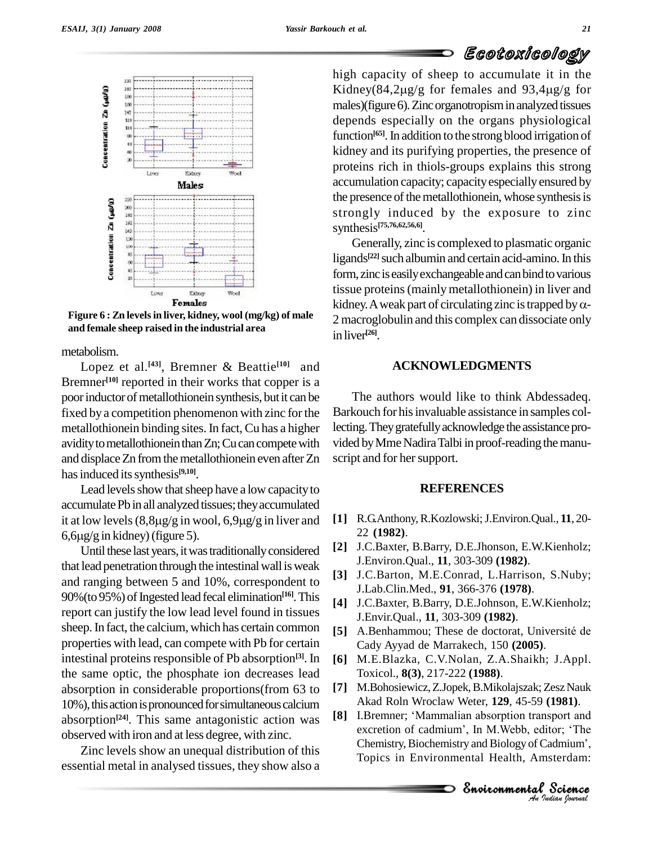

**Figure 6 : Zn levelsin liver,kidney, wool (mg/kg) of male and female sheep raised in the industrial area**

metabolism.

Lopez et al. **[43]**, Bremner & Beattie **[10]** and Bremner<sup>[10]</sup> reported in their works that copper is a poor inductor of metallothionein synthesis, but it can be fixed by a competition phenomenon with zinc for the metallothionein binding sites. In fact,Cu has a higher avidity to metallothionein than Zn; Cu can compete with and displace Zn from the metallothionein even after Zn has induced its synthesis<sup>[9,10]</sup>.

Lead levels show that sheep have a low capacity to accumulate Pb in all analyzed tissues; they accumulated Lead levels show that sheep have a low capacity to<br>accumulate Pb in all analyzed tissues; they accumulated<br>it at low levels  $(8,8\mu g/g \text{ in} \text{ wood}, 6,9\mu g/g \text{ in} \text{ liver} \text{ and } 11 \text{ R}.$ accumulate Pb in all analyzed tissue<br>it at low levels (8,8μg/g in wool, 6<br>6,6μg/g in kidney) (figure 5).

Until these last years, it was traditionally considered that lead penetration through the intestinal wall is weak and ranging between 5 and 10%, correspondent to 90% (to 95%) of Ingested lead fecal elimination<sup>[16]</sup>. This <sub>[41]</sub> report can justify the low lead level found in tissues sheep. In fact, the calcium, which has certain common [5] A.Benhammou; These de doctorat, Université de properties with lead, can compete with Pb for certain intestinal proteins responsible of Pb absorption<sup>[3]</sup>. In the same optic, the phosphate ion decreases lead absorption in considerable proportions(from 63 to 10%), this action is pronounced for simultaneous calcium absorption **[24]**. This same antagonistic action was observed with iron and at less degree, with zinc.

Zinc levels show an unequal distribution of this essential metal in analysed tissues, they show also a

high capacity of sheep to accumulate it in the GOUGONIGONORY<br>high capacity of sheep to accumulate it in the<br>Kidney(84,2µg/g for females and 93,4µg/g for males)(figure 6). Zinc organotropism in analyzed tissues depends especially on the organs physiological function<sup>[65]</sup>. In addition to the strong blood irrigation of kidney and its purifying properties, the presence of proteins rich in thiols-groups explains this strong accumulation capacity; capacity especially ensured by the presence of the metallothionein, whose synthesis is strongly induced by the exposure to zinc synthesis **[75,76,62,56,6]**.

Generally, zinc is complexed to plasmatic organic ligands<sup>[22]</sup> such albumin and certain acid-amino. In this form, zinc is easily exchangeable and can bind to various<br>tissue proteins (mainly metallothionein) in liver and<br>kidney. A weak part of circulating zinc is trapped by αtissue proteins(mainlymetallothionein) in liver and 2 macroglobulin and this complex can dissociate only in liver **[26]**.

#### **ACKNOWLEDGMENTS**

The authors would like to think Abdessadeq. Barkouch for his invaluable assistance in samples collecting. They gratefully acknowledge the assistance provided by Mme Nadira Talbi in proof-reading the manuscript and for her support.

#### **REFERENCES**

- **[1]** R.G.Anthony,R.Kozlowski;J.Environ.Qual., **11**, 20- 22 **(1982)**.
- **[2]** J.C.Baxter, B.Barry, D.E.Jhonson, E.W.Kienholz; J.Environ.Qual., **11**, 303-309 **(1982)**.
- **[3]** J.C.Barton, M.E.Conrad, L.Harrison, S.Nuby; J.Lab.Clin.Med., **91**, 366-376 **(1978)**.
- [4] J.C.Baxter, B.Barry, D.E.Johnson, E.W.Kienholz;<br>J.Envir.Qual., **11**, 303-309 (**1982**).<br>[5] A.Benhammou; These de doctorat, Université de J.Envir.Qual., **11**, 303-309 **(1982)**.
- Cady Ayyad de Marrakech, 150 **(2005)**.
- **[3]**. In **[6]** M.E.Blazka, C.V.Nolan, Z.A.Shaikh; J.Appl. Toxicol., **8(3)**, 217-222 **(1988)**.
	- *An*EnvironmentalAkad Roln Wroclaw Weter, **129**, 45-59 **(1981)**. **[7]** M.Bohosiewicz,Z.Jopek,B.Mikolajszak; ZeszNauk [7] M.Bohosiewicz, Z.Jopek, B.Mikolajszak; Zesz Nauk<br>Akad Roln Wroclaw Weter, **129**, 45-59 (**1981**).<br>[8] I.Bremner; 'Mammalian absorption transport and
	- excretion of cadmium', In M.Webb, editor; 'The Chemistry, Biochemistry and Biology of Cadmium', Topics in Environmental Health, Amsterdam: 1981).<br>sport and<br>tor; 'The<br>admium',<br>sterdam:<br>Science Akad Roln Wroclaw Weter, 129, 45-59 (1981).<br>I.Bremner; 'Mammalian absorption transport and<br>excretion of cadmium', In M.Webb, editor; 'The Chemistry, Biochemistry and Biology of Cadmium', Topics in Environmental Health, Amsterdam:

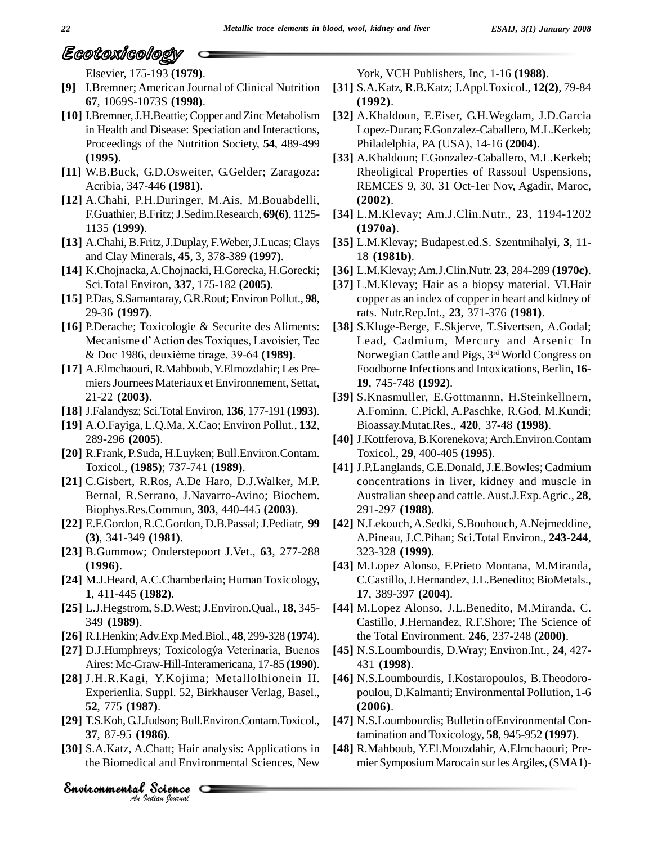Elsevier, 175-193 **(1979)**.

- **[9]** I.Bremner; American Journal of Clinical Nutrition **67**, 1069S-1073S **(1998)**.
- [10] I.Bremner, J.H.Beattie; Copper and Zinc Metabolism in Health and Disease: Speciation and Interactions, Proceedings of the Nutrition Society, **54**, 489-499 **(1995)**.
- **[11]** W.B.Buck, G.D.Osweiter, G.Gelder; Zaragoza: Acribia, 347-446 **(1981)**.
- **[12]** A.Chahi, P.H.Duringer, M.Ais, M.Bouabdelli, F.Guathier,B.Fritz;J.Sedim.Research, **69(6)**, 1125- 1135 **(1999)**.
- [13] A.Chahi, B.Fritz, J.Duplay, F.Weber, J.Lucas; Clays and Clay Minerals, **45**, 3, 378-389 **(1997)**.
- **[14]** K.Chojnacka,A.Chojnacki, H.Gorecka, H.Gorecki; Sci.Total Environ, **337**, 175-182 **(2005)**.
- **[15]** P.Das, S.Samantaray, G.R.Rout; Environ Pollut., **98**, 29-36 **(1997)**.
- **[16]** P.Derache; Toxicologie & Securite des Aliments: 29-36 (1997).<br>P.Derache; Toxicologie & Securite des Aliments: [38]<br>Mecanisme d'Action des Toxiques, Lavoisier, Tec P.Derache; Toxicologie & Securite des Aliments<br>Mecanisme d'Action des Toxiques, Lavoisier, Tec<br>& Doc 1986, deuxième tirage, 39-64 (**1989**).
- **[17]** A.Elmchaouri,R.Mahboub,Y.Elmozdahir; Les Pre miersJournees Materiaux et Environnement, Settat, 21-22 **(2003)**.
- **[18]** J.Falandysz; Sci.TotalEnviron, **136**, 177-191 **(1993)**.
- **[19]** A.O.Fayiga, L.Q.Ma, X.Cao; Environ Pollut., **132**, 289-296 **(2005)**.
- **[20]** R.Frank, P.Suda, H.Luyken; Bull.Environ.Contam. Toxicol., **(1985)**; 737-741 **(1989)**.
- **[21]** C.Gisbert, R.Ros, A.De Haro, D.J.Walker, M.P. Bernal, R.Serrano, J.Navarro-Avino; Biochem. Biophys.Res.Commun, **303**, 440-445 **(2003)**.
- **[22]** E.F.Gordon,R.C.Gordon, D.B.Passal;J.Pediatr, **99 (3)**, 341-349 **(1981)**.
- **[23]** B.Gummow; Onderstepoort J.Vet., **63**, 277-288 **(1996)**.
- **[24]** M.J.Heard,A.C.Chamberlain; Human Toxicology, **1**, 411-445 **(1982)**.
- **[25]** L.J.Hegstrom, S.D.West; J.Environ.Qual., **18**, 345- 349 **(1989)**.
- **[26]** R.I.Henkin;Adv.Exp.Med.Biol., **48**, 299-328 **(1974)**.
- [27] D.J.Humphreys; Toxicologýa Veterinaria, Buenos Aires: Mc-Graw-Hill-Interamericana, 17-85 **(1990)**.
- *An*Environmental**52**, 775 **(1987)**. **[28]** J.H.R.Kagi, Y.Kojima; Metallolhionein II. Experienlia. Suppl. 52, Birkhauser Verlag, Basel.,
- **[29]** T.S.Koh,G.J.Judson;Bull.Environ.Contam.Toxicol., **37**, 87-95 **(1986)**.
- 7).<br>7).<br>10360; Bull.Envi<br>1860.<br>Chatt; Hair anal<br>al and Environn<br>Science **[30]** S.A.Katz, A.Chatt; Hair analysis: Applications in the Biomedical and Environmental Sciences, New

York, VCH Publishers, Inc, 1-16 **(1988)**.

- **[31]** S.A.Katz, R.B.Katz; J.Appl.Toxicol., **12(2)**, 79-84 **(1992)**.
- **[32]** A.Khaldoun, E.Eiser, G.H.Wegdam, J.D.Garcia Lopez-Duran; F.Gonzalez-Caballero, M.L.Kerkeb; Philadelphia, PA (USA), 14-16 **(2004)**.
- **[33]** A.Khaldoun; F.Gonzalez-Caballero, M.L.Kerkeb; Rheoligical Properties of Rassoul Uspensions, REMCES 9, 30, 31 Oct-1er Nov, Agadir, Maroc, **(2002)**.
- **[34]** L.M.Klevay; Am.J.Clin.Nutr., **23**, 1194-1202 **(1970a)**.
- **[35]** L.M.Klevay; Budapest.ed.S. Szentmihalyi, **3**, 11- 18 **(1981b)**.
- **[36]** L.M.Klevay;Am.J.Clin.Nutr. **23**, 284-289 **(1970c)**.
- **[37]** L.M.Klevay; Hair as a biopsy material. VI.Hair copper as an index of copper in heart and kidney of rats. Nutr.Rep.Int., **23**, 371-376 **(1981)**.
- **[38]** S.Kluge-Berge, E.Skjerve, T.Sivertsen, A.Godal; Lead, Cadmium, Mercury and Arsenic In Norwegian Cattle and Pigs, 3 rd World Congress on Foodborne Infections and Intoxications, Berlin, **16- 19**, 745-748 **(1992)**.
- **[39]** S.Knasmuller, E.Gottmannn, H.Steinkellnern, A.Fominn, C.Pickl, A.Paschke, R.God, M.Kundi; Bioassay.Mutat.Res., **420**, 37-48 **(1998)**.
- **[40]** J.Kottferova,B.Korenekova;Arch.Environ.Contam Toxicol., **29**, 400-405 **(1995)**.
- **[41]** J.P.Langlands, G.E.Donald, J.E.Bowles; Cadmium concentrations in liver, kidney and muscle in Australian sheep and cattle.Aust.J.Exp.Agric., **28**, 291-297 **(1988)**.
- **[42]** N.Lekouch,A.Sedki, S.Bouhouch,A.Nejmeddine, A.Pineau, J.C.Pihan; Sci.Total Environ., **243-244**, 323-328 **(1999)**.
- **[43]** M.Lopez Alonso, F.Prieto Montana, M.Miranda, C.Castillo,J.Hernandez,J.L.Benedito; BioMetals., **17**, 389-397 **(2004)**.
- **[44]** M.Lopez Alonso, J.L.Benedito, M.Miranda, C. Castillo, J.Hernandez, R.F.Shore; The Science of the Total Environment. **246**, 237-248 **(2000)**.
- **[45]** N.S.Loumbourdis, D.Wray; Environ.Int., **24**, 427- 431 **(1998)**.
- **[46]** N.S.Loumbourdis, I.Kostaropoulos, B.Theodoro poulou, D.Kalmanti; Environmental Pollution, 1-6 **(2006)**.
- **[47]** N.S.Loumbourdis; Bulletin ofEnvironmental Contamination and Toxicology, **58**, 945-952 **(1997)**.
- **[48]** R.Mahboub, Y.El.Mouzdahir, A.Elmchaouri; Pre mier Symposium Marocain sur les Argiles, (SMA1)-

# *Indian Journal*